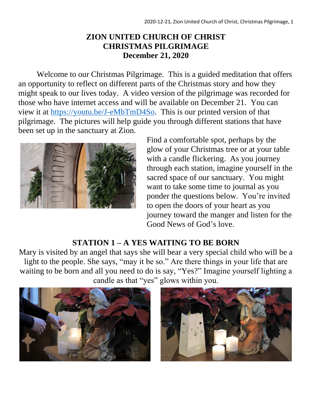#### **ZION UNITED CHURCH OF CHRIST CHRISTMAS PILGRIMAGE December 21, 2020**

Welcome to our Christmas Pilgrimage. This is a guided meditation that offers an opportunity to reflect on different parts of the Christmas story and how they might speak to our lives today. A video version of the pilgrimage was recorded for those who have internet access and will be available on December 21. You can view it at [https://youtu.be/J-eMbTmD4So.](https://youtu.be/J-eMbTmD4So) This is our printed version of that pilgrimage. The pictures will help guide you through different stations that have been set up in the sanctuary at Zion.



Find a comfortable spot, perhaps by the glow of your Christmas tree or at your table with a candle flickering. As you journey through each station, imagine yourself in the sacred space of our sanctuary. You might want to take some time to journal as you ponder the questions below. You're invited to open the doors of your heart as you journey toward the manger and listen for the Good News of God's love.

### **STATION 1 – A YES WAITING TO BE BORN**

Mary is visited by an angel that says she will bear a very special child who will be a light to the people. She says, "may it be so." Are there things in your life that are waiting to be born and all you need to do is say, "Yes?" Imagine yourself lighting a candle as that "yes" glows within you.



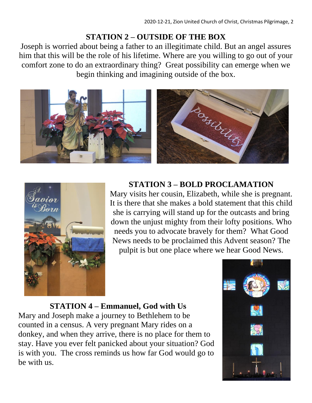# **STATION 2 – OUTSIDE OF THE BOX**

Joseph is worried about being a father to an illegitimate child. But an angel assures him that this will be the role of his lifetime. Where are you willing to go out of your comfort zone to do an extraordinary thing? Great possibility can emerge when we begin thinking and imagining outside of the box.





## **STATION 3 – BOLD PROCLAMATION**

Mary visits her cousin, Elizabeth, while she is pregnant. It is there that she makes a bold statement that this child she is carrying will stand up for the outcasts and bring down the unjust mighty from their lofty positions. Who needs you to advocate bravely for them? What Good News needs to be proclaimed this Advent season? The pulpit is but one place where we hear Good News.

### **STATION 4 – Emmanuel, God with Us**

Mary and Joseph make a journey to Bethlehem to be counted in a census. A very pregnant Mary rides on a donkey, and when they arrive, there is no place for them to stay. Have you ever felt panicked about your situation? God is with you. The cross reminds us how far God would go to be with us.

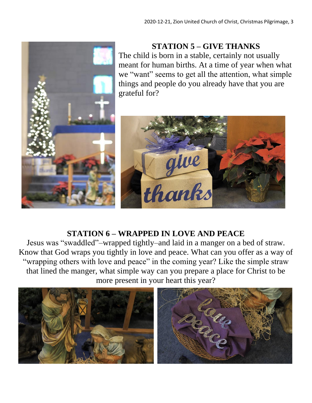

### **STATION 5 – GIVE THANKS**

The child is born in a stable, certainly not usually meant for human births. At a time of year when what we "want" seems to get all the attention, what simple things and people do you already have that you are grateful for?



### **STATION 6 – WRAPPED IN LOVE AND PEACE**

Jesus was "swaddled"–wrapped tightly–and laid in a manger on a bed of straw. Know that God wraps you tightly in love and peace. What can you offer as a way of "wrapping others with love and peace" in the coming year? Like the simple straw that lined the manger, what simple way can you prepare a place for Christ to be more present in your heart this year?